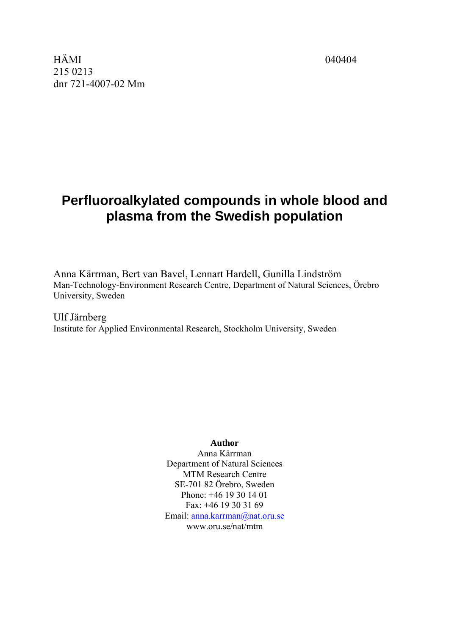HÄMI 040404 215 0213 dnr 721-4007-02 Mm

# **Perfluoroalkylated compounds in whole blood and plasma from the Swedish population**

Anna Kärrman, Bert van Bavel, Lennart Hardell, Gunilla Lindström Man-Technology-Environment Research Centre, Department of Natural Sciences, Örebro University, Sweden

Ulf Järnberg Institute for Applied Environmental Research, Stockholm University, Sweden

## **Author**

Anna Kärrman Department of Natural Sciences MTM Research Centre SE-701 82 Örebro, Sweden Phone: +46 19 30 14 01 Fax: +46 19 30 31 69 Email: anna.karrman@nat.oru.se www.oru.se/nat/mtm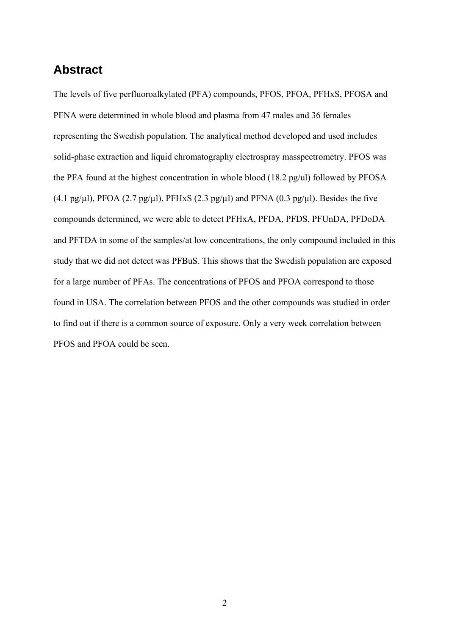# **Abstract**

The levels of five perfluoroalkylated (PFA) compounds, PFOS, PFOA, PFHxS, PFOSA and PFNA were determined in whole blood and plasma from 47 males and 36 females representing the Swedish population. The analytical method developed and used includes solid-phase extraction and liquid chromatography electrospray masspectrometry. PFOS was the PFA found at the highest concentration in whole blood (18.2 pg/ul) followed by PFOSA (4.1 pg/ $\mu$ l), PFOA (2.7 pg/ $\mu$ l), PFHxS (2.3 pg/ $\mu$ l) and PFNA (0.3 pg/ $\mu$ l). Besides the five compounds determined, we were able to detect PFHxA, PFDA, PFDS, PFUnDA, PFDoDA and PFTDA in some of the samples/at low concentrations, the only compound included in this study that we did not detect was PFBuS. This shows that the Swedish population are exposed for a large number of PFAs. The concentrations of PFOS and PFOA correspond to those found in USA. The correlation between PFOS and the other compounds was studied in order to find out if there is a common source of exposure. Only a very week correlation between PFOS and PFOA could be seen.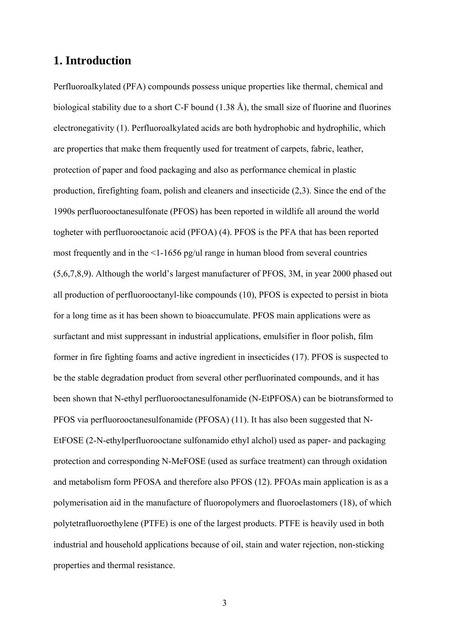# **1. Introduction**

Perfluoroalkylated (PFA) compounds possess unique properties like thermal, chemical and biological stability due to a short C-F bound (1.38 Å), the small size of fluorine and fluorines electronegativity (1). Perfluoroalkylated acids are both hydrophobic and hydrophilic, which are properties that make them frequently used for treatment of carpets, fabric, leather, protection of paper and food packaging and also as performance chemical in plastic production, firefighting foam, polish and cleaners and insecticide (2,3). Since the end of the 1990s perfluorooctanesulfonate (PFOS) has been reported in wildlife all around the world togheter with perfluorooctanoic acid (PFOA) (4). PFOS is the PFA that has been reported most frequently and in the <1-1656 pg/ul range in human blood from several countries (5,6,7,8,9). Although the world's largest manufacturer of PFOS, 3M, in year 2000 phased out all production of perfluorooctanyl-like compounds (10), PFOS is expected to persist in biota for a long time as it has been shown to bioaccumulate. PFOS main applications were as surfactant and mist suppressant in industrial applications, emulsifier in floor polish, film former in fire fighting foams and active ingredient in insecticides (17). PFOS is suspected to be the stable degradation product from several other perfluorinated compounds, and it has been shown that N-ethyl perfluorooctanesulfonamide (N-EtPFOSA) can be biotransformed to PFOS via perfluorooctanesulfonamide (PFOSA) (11). It has also been suggested that N-EtFOSE (2-N-ethylperfluorooctane sulfonamido ethyl alchol) used as paper- and packaging protection and corresponding N-MeFOSE (used as surface treatment) can through oxidation and metabolism form PFOSA and therefore also PFOS (12). PFOAs main application is as a polymerisation aid in the manufacture of fluoropolymers and fluoroelastomers (18), of which polytetrafluoroethylene (PTFE) is one of the largest products. PTFE is heavily used in both industrial and household applications because of oil, stain and water rejection, non-sticking properties and thermal resistance.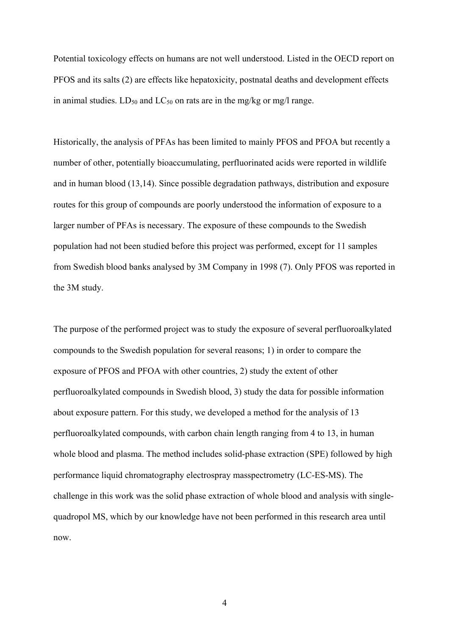Potential toxicology effects on humans are not well understood. Listed in the OECD report on PFOS and its salts (2) are effects like hepatoxicity, postnatal deaths and development effects in animal studies.  $LD_{50}$  and  $LC_{50}$  on rats are in the mg/kg or mg/l range.

Historically, the analysis of PFAs has been limited to mainly PFOS and PFOA but recently a number of other, potentially bioaccumulating, perfluorinated acids were reported in wildlife and in human blood (13,14). Since possible degradation pathways, distribution and exposure routes for this group of compounds are poorly understood the information of exposure to a larger number of PFAs is necessary. The exposure of these compounds to the Swedish population had not been studied before this project was performed, except for 11 samples from Swedish blood banks analysed by 3M Company in 1998 (7). Only PFOS was reported in the 3M study.

The purpose of the performed project was to study the exposure of several perfluoroalkylated compounds to the Swedish population for several reasons; 1) in order to compare the exposure of PFOS and PFOA with other countries, 2) study the extent of other perfluoroalkylated compounds in Swedish blood, 3) study the data for possible information about exposure pattern. For this study, we developed a method for the analysis of 13 perfluoroalkylated compounds, with carbon chain length ranging from 4 to 13, in human whole blood and plasma. The method includes solid-phase extraction (SPE) followed by high performance liquid chromatography electrospray masspectrometry (LC-ES-MS). The challenge in this work was the solid phase extraction of whole blood and analysis with singlequadropol MS, which by our knowledge have not been performed in this research area until now.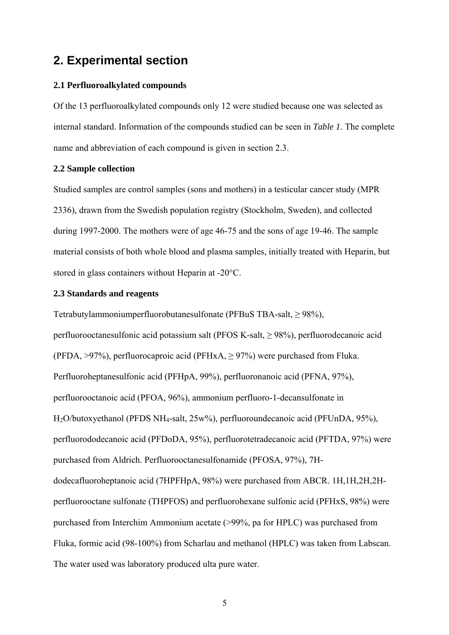# **2. Experimental section**

### **2.1 Perfluoroalkylated compounds**

Of the 13 perfluoroalkylated compounds only 12 were studied because one was selected as internal standard. Information of the compounds studied can be seen in *Table 1*. The complete name and abbreviation of each compound is given in section 2.3.

### **2.2 Sample collection**

Studied samples are control samples (sons and mothers) in a testicular cancer study (MPR 2336), drawn from the Swedish population registry (Stockholm, Sweden), and collected during 1997-2000. The mothers were of age 46-75 and the sons of age 19-46. The sample material consists of both whole blood and plasma samples, initially treated with Heparin, but stored in glass containers without Heparin at -20°C.

## **2.3 Standards and reagents**

Tetrabutylammoniumperfluorobutanesulfonate (PFBuS TBA-salt,  $\geq$  98%), perfluorooctanesulfonic acid potassium salt (PFOS K-salt, ≥ 98%), perfluorodecanoic acid (PFDA,  $>97\%$ ), perfluorocaproic acid (PFHxA,  $\geq$  97%) were purchased from Fluka. Perfluoroheptanesulfonic acid (PFHpA, 99%), perfluoronanoic acid (PFNA, 97%), perfluorooctanoic acid (PFOA, 96%), ammonium perfluoro-1-decansulfonate in H2O/butoxyethanol (PFDS NH4-salt, 25w%), perfluoroundecanoic acid (PFUnDA, 95%), perfluorododecanoic acid (PFDoDA, 95%), perfluorotetradecanoic acid (PFTDA, 97%) were purchased from Aldrich. Perfluorooctanesulfonamide (PFOSA, 97%), 7Hdodecafluoroheptanoic acid (7HPFHpA, 98%) were purchased from ABCR. 1H,1H,2H,2Hperfluorooctane sulfonate (THPFOS) and perfluorohexane sulfonic acid (PFHxS, 98%) were purchased from Interchim Ammonium acetate (>99%, pa for HPLC) was purchased from Fluka, formic acid (98-100%) from Scharlau and methanol (HPLC) was taken from Labscan. The water used was laboratory produced ulta pure water.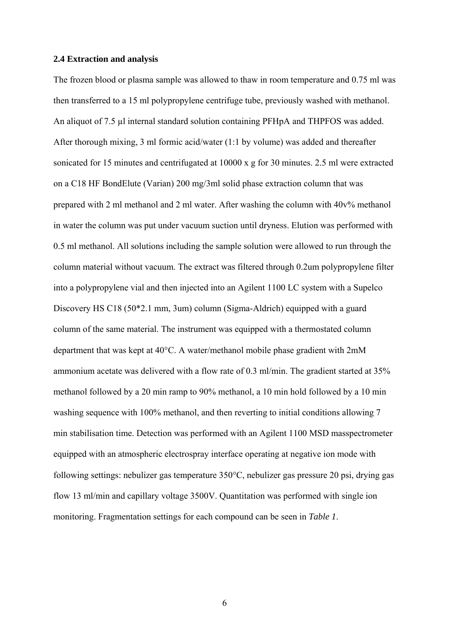#### **2.4 Extraction and analysis**

The frozen blood or plasma sample was allowed to thaw in room temperature and 0.75 ml was then transferred to a 15 ml polypropylene centrifuge tube, previously washed with methanol. An aliquot of 7.5 µl internal standard solution containing PFHpA and THPFOS was added. After thorough mixing, 3 ml formic acid/water (1:1 by volume) was added and thereafter sonicated for 15 minutes and centrifugated at 10000 x g for 30 minutes. 2.5 ml were extracted on a C18 HF BondElute (Varian) 200 mg/3ml solid phase extraction column that was prepared with 2 ml methanol and 2 ml water. After washing the column with 40v% methanol in water the column was put under vacuum suction until dryness. Elution was performed with 0.5 ml methanol. All solutions including the sample solution were allowed to run through the column material without vacuum. The extract was filtered through 0.2um polypropylene filter into a polypropylene vial and then injected into an Agilent 1100 LC system with a Supelco Discovery HS C18 (50\*2.1 mm, 3um) column (Sigma-Aldrich) equipped with a guard column of the same material. The instrument was equipped with a thermostated column department that was kept at 40°C. A water/methanol mobile phase gradient with 2mM ammonium acetate was delivered with a flow rate of 0.3 ml/min. The gradient started at 35% methanol followed by a 20 min ramp to 90% methanol, a 10 min hold followed by a 10 min washing sequence with 100% methanol, and then reverting to initial conditions allowing 7 min stabilisation time. Detection was performed with an Agilent 1100 MSD masspectrometer equipped with an atmospheric electrospray interface operating at negative ion mode with following settings: nebulizer gas temperature 350°C, nebulizer gas pressure 20 psi, drying gas flow 13 ml/min and capillary voltage 3500V. Quantitation was performed with single ion monitoring. Fragmentation settings for each compound can be seen in *Table 1*.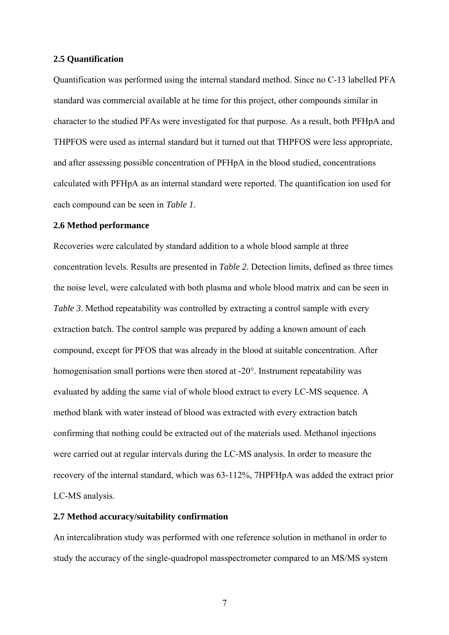#### **2.5 Quantification**

Quantification was performed using the internal standard method. Since no C-13 labelled PFA standard was commercial available at he time for this project, other compounds similar in character to the studied PFAs were investigated for that purpose. As a result, both PFHpA and THPFOS were used as internal standard but it turned out that THPFOS were less appropriate, and after assessing possible concentration of PFHpA in the blood studied, concentrations calculated with PFHpA as an internal standard were reported. The quantification ion used for each compound can be seen in *Table 1*.

#### **2.6 Method performance**

Recoveries were calculated by standard addition to a whole blood sample at three concentration levels. Results are presented in *Table 2*. Detection limits, defined as three times the noise level, were calculated with both plasma and whole blood matrix and can be seen in *Table 3*. Method repeatability was controlled by extracting a control sample with every extraction batch. The control sample was prepared by adding a known amount of each compound, except for PFOS that was already in the blood at suitable concentration. After homogenisation small portions were then stored at -20°. Instrument repeatability was evaluated by adding the same vial of whole blood extract to every LC-MS sequence. A method blank with water instead of blood was extracted with every extraction batch confirming that nothing could be extracted out of the materials used. Methanol injections were carried out at regular intervals during the LC-MS analysis. In order to measure the recovery of the internal standard, which was 63-112%, 7HPFHpA was added the extract prior LC-MS analysis.

### **2.7 Method accuracy/suitability confirmation**

An intercalibration study was performed with one reference solution in methanol in order to study the accuracy of the single-quadropol masspectrometer compared to an MS/MS system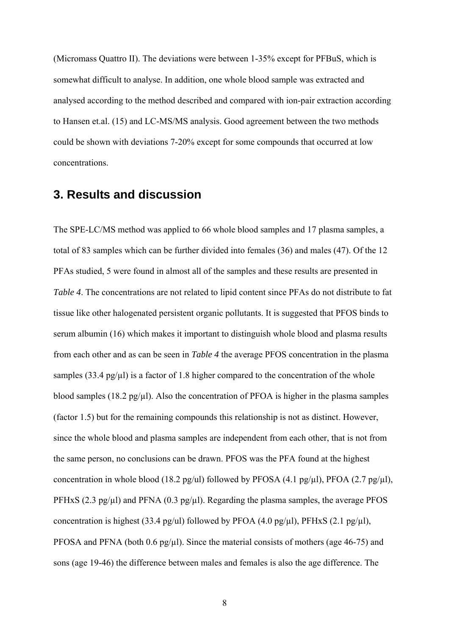(Micromass Quattro II). The deviations were between 1-35% except for PFBuS, which is somewhat difficult to analyse. In addition, one whole blood sample was extracted and analysed according to the method described and compared with ion-pair extraction according to Hansen et.al. (15) and LC-MS/MS analysis. Good agreement between the two methods could be shown with deviations 7-20% except for some compounds that occurred at low concentrations.

# **3. Results and discussion**

The SPE-LC/MS method was applied to 66 whole blood samples and 17 plasma samples, a total of 83 samples which can be further divided into females (36) and males (47). Of the 12 PFAs studied, 5 were found in almost all of the samples and these results are presented in *Table 4*. The concentrations are not related to lipid content since PFAs do not distribute to fat tissue like other halogenated persistent organic pollutants. It is suggested that PFOS binds to serum albumin (16) which makes it important to distinguish whole blood and plasma results from each other and as can be seen in *Table 4* the average PFOS concentration in the plasma samples  $(33.4 \text{ pg/µl})$  is a factor of 1.8 higher compared to the concentration of the whole blood samples (18.2 pg/ $\mu$ ). Also the concentration of PFOA is higher in the plasma samples (factor 1.5) but for the remaining compounds this relationship is not as distinct. However, since the whole blood and plasma samples are independent from each other, that is not from the same person, no conclusions can be drawn. PFOS was the PFA found at the highest concentration in whole blood (18.2 pg/ul) followed by PFOSA (4.1 pg/ul), PFOA (2.7 pg/ul), PFHxS (2.3 pg/ $\mu$ l) and PFNA (0.3 pg/ $\mu$ l). Regarding the plasma samples, the average PFOS concentration is highest (33.4 pg/ul) followed by PFOA (4.0 pg/ul), PFHxS (2.1 pg/ul), PFOSA and PFNA (both  $0.6$  pg/ $\mu$ l). Since the material consists of mothers (age 46-75) and sons (age 19-46) the difference between males and females is also the age difference. The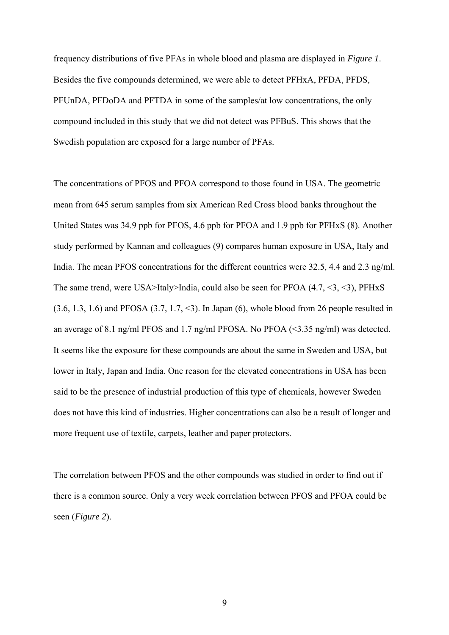frequency distributions of five PFAs in whole blood and plasma are displayed in *Figure 1*. Besides the five compounds determined, we were able to detect PFHxA, PFDA, PFDS, PFUnDA, PFDoDA and PFTDA in some of the samples/at low concentrations, the only compound included in this study that we did not detect was PFBuS. This shows that the Swedish population are exposed for a large number of PFAs.

The concentrations of PFOS and PFOA correspond to those found in USA. The geometric mean from 645 serum samples from six American Red Cross blood banks throughout the United States was 34.9 ppb for PFOS, 4.6 ppb for PFOA and 1.9 ppb for PFHxS (8). Another study performed by Kannan and colleagues (9) compares human exposure in USA, Italy and India. The mean PFOS concentrations for the different countries were 32.5, 4.4 and 2.3 ng/ml. The same trend, were USA>Italy>India, could also be seen for PFOA (4.7, <3, <3), PFHxS  $(3.6, 1.3, 1.6)$  and PFOSA  $(3.7, 1.7, \leq 3)$ . In Japan  $(6)$ , whole blood from 26 people resulted in an average of 8.1 ng/ml PFOS and 1.7 ng/ml PFOSA. No PFOA (<3.35 ng/ml) was detected. It seems like the exposure for these compounds are about the same in Sweden and USA, but lower in Italy, Japan and India. One reason for the elevated concentrations in USA has been said to be the presence of industrial production of this type of chemicals, however Sweden does not have this kind of industries. Higher concentrations can also be a result of longer and more frequent use of textile, carpets, leather and paper protectors.

The correlation between PFOS and the other compounds was studied in order to find out if there is a common source. Only a very week correlation between PFOS and PFOA could be seen (*Figure 2*).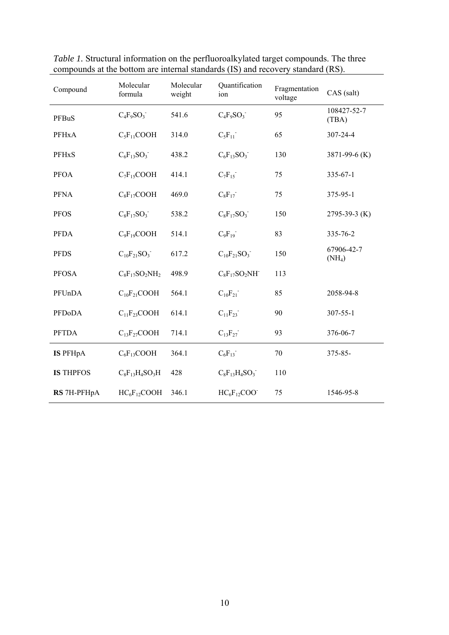| Compound         | Molecular<br>formula | Molecular<br>weight | Quantification<br>ion | Fragmentation<br>voltage | CAS (salt)                       |
|------------------|----------------------|---------------------|-----------------------|--------------------------|----------------------------------|
| PFBuS            | $C_4F_9SO_3$         | 541.6               | $C_4F_9SO_3$          | 95                       | 108427-52-7<br>(TBA)             |
| <b>PFHxA</b>     | $C_5F_{11}COOH$      | 314.0               | $C_5F_{11}$           | 65                       | 307-24-4                         |
| <b>PFHxS</b>     | $C_6F_{13}SO_3$      | 438.2               | $C_6F_{13}SO_3$       | 130                      | 3871-99-6 (K)                    |
| <b>PFOA</b>      | $C_7F_{15}COOH$      | 414.1               | $C_7F_{15}$           | 75                       | $335 - 67 - 1$                   |
| <b>PFNA</b>      | $C_8F_{17}COOH$      | 469.0               | $C_8F_{17}$           | 75                       | 375-95-1                         |
| <b>PFOS</b>      | $C_8F_{17}SO_3$      | 538.2               | $C_8F_{17}SO_3$       | 150                      | 2795-39-3 $(K)$                  |
| <b>PFDA</b>      | $C_9F_{19}COOH$      | 514.1               | $C_9F_{19}$           | 83                       | 335-76-2                         |
| <b>PFDS</b>      | $C_{10}F_{21}SO_3$   | 617.2               | $C_{10}F_{21}SO_3$    | 150                      | 67906-42-7<br>(NH <sub>4</sub> ) |
| <b>PFOSA</b>     | $C_8F_{17}SO_2NH_2$  | 498.9               | $C_8F_{17}SO_2NH$     | 113                      |                                  |
| PFUnDA           | $C_{10}F_{21}COOH$   | 564.1               | $C_{10}F_{21}$        | 85                       | 2058-94-8                        |
| PFDoDA           | $C_{11}F_{23}COOH$   | 614.1               | $C_{11}F_{23}$        | 90                       | $307 - 55 - 1$                   |
| <b>PFTDA</b>     | $C_{13}F_{27}COOH$   | 714.1               | $C_{13}F_{27}$        | 93                       | 376-06-7                         |
| <b>IS PFHpA</b>  | $C_6F_{13}COOH$      | 364.1               | $C_6F_{13}$           | 70                       | 375-85-                          |
| <b>IS THPFOS</b> | $C_8F_{13}H_4SO_3H$  | 428                 | $C_8F_{13}H_4SO_3$    | 110                      |                                  |
| RS 7H-PFHpA      | $HC_6F_{12}COOH$     | 346.1               | $HC_6F_{12}COO^-$     | 75                       | 1546-95-8                        |

*Table 1.* Structural information on the perfluoroalkylated target compounds. The three compounds at the bottom are internal standards (IS) and recovery standard (RS).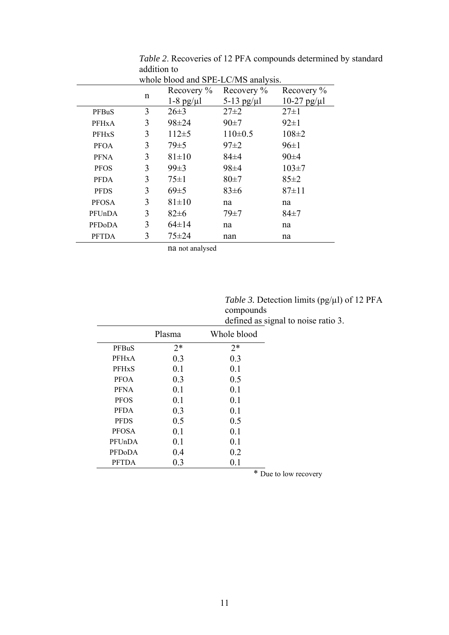|               |   | Recovery $\%$            | whole blood and SPE-LC/MS analysis.<br>Recovery % | Recovery %          |  |  |
|---------------|---|--------------------------|---------------------------------------------------|---------------------|--|--|
|               | n | $1-8$ pg/ $\mu$ l        | 5-13 pg/ $\mu$ l                                  | $10-27$ pg/ $\mu$ l |  |  |
| PFBuS         | 3 | $27 \pm 2$<br>$26 \pm 3$ |                                                   | $27 \pm 1$          |  |  |
| PFHxA         | 3 | $98 \pm 24$              | 90±7                                              | $92 \pm 1$          |  |  |
| <b>PFHxS</b>  | 3 | $112 \pm 5$              | $110 \pm 0.5$                                     | $108 \pm 2$         |  |  |
| <b>PFOA</b>   | 3 | $79\pm5$                 | $97\pm 2$                                         | $96 \pm 1$          |  |  |
| <b>PFNA</b>   | 3 | $81 \pm 10$<br>$84\pm4$  |                                                   | 90±4                |  |  |
| <b>PFOS</b>   | 3 | $99 \pm 3$               | $98 \pm 4$                                        | $103 \pm 7$         |  |  |
| <b>PFDA</b>   | 3 | $75 \pm 1$               | $80\pm7$                                          |                     |  |  |
| <b>PFDS</b>   | 3 | 69±5                     | 83±6                                              | $87 \pm 11$         |  |  |
| <b>PFOSA</b>  | 3 | $81 \pm 10$              | na                                                | na                  |  |  |
| PFUnDA        | 3 | $82 \pm 6$               | $79\pm7$                                          | $84\pm7$            |  |  |
| <b>PFDoDA</b> | 3 | $64 \pm 14$              | na                                                | na                  |  |  |
| PFTDA         | 3 | $75 + 24$                | nan                                               | na                  |  |  |

*Table 2*. Recoveries of 12 PFA compounds determined by standard addition to  $\overline{A}$  SDE-LC/MS and species.

na not analysed

*Table 3.* Detection limits (pg/µl) of 12 PFA compounds defined as signal to noise ratio 3.

|                    | Plasma | Whole blood |
|--------------------|--------|-------------|
| PFBuS              | $2*$   | $2*$        |
| PFH <sub>x</sub> A | 0.3    | 0.3         |
| <b>PFHxS</b>       | 0.1    | 0.1         |
| <b>PFOA</b>        | 0.3    | 0.5         |
| <b>PFNA</b>        | 0.1    | 0.1         |
| <b>PFOS</b>        | 0.1    | 0.1         |
| <b>PFDA</b>        | 0.3    | 0.1         |
| <b>PFDS</b>        | 0.5    | 0.5         |
| <b>PFOSA</b>       | 0.1    | 0.1         |
| PFUnDA             | 0.1    | 0.1         |
| <b>PFDoDA</b>      | 0.4    | 0.2         |
| <b>PFTDA</b>       | 0.3    | 0.1         |

\* Due to low recovery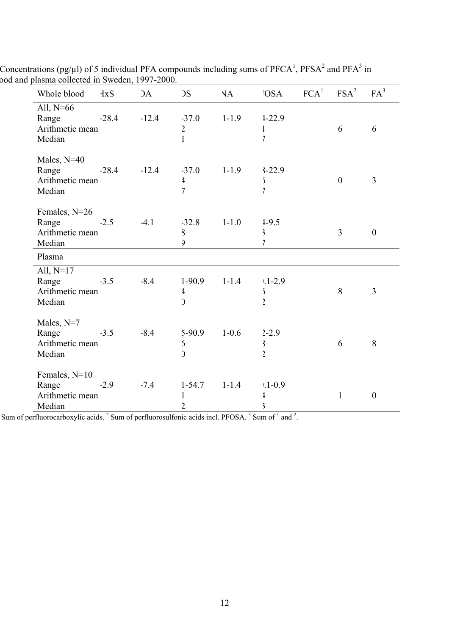| re plasina conected in Sweden, $1997 - 2000$ .      |            |            |                                                      |                |                                                              |                  |                  |                |
|-----------------------------------------------------|------------|------------|------------------------------------------------------|----------------|--------------------------------------------------------------|------------------|------------------|----------------|
| Whole blood                                         | <b>HxS</b> | $\Delta A$ | $\overline{\text{OS}}$                               | $\overline{A}$ | <b>OSA</b>                                                   | FCA <sup>1</sup> | FSA <sup>2</sup> | $FA^3$         |
| All, $N=66$<br>Range<br>Arithmetic mean<br>Median   | $-28.4$    | $-12.4$    | $-37.0$<br>$\overline{2}$<br>$\mathbf{1}$            | $1 - 1.9$      | $1 - 22.9$                                                   |                  | 6                | 6              |
| Males, $N=40$<br>Range<br>Arithmetic mean<br>Median | $-28.4$    | $-12.4$    | $-37.0$<br>$\overline{\mathbf{4}}$<br>$\overline{7}$ | $1 - 1.9$      | $3-22.9$<br>$\tilde{\mathbf{z}}$<br>$\overline{7}$           |                  | $\mathbf{0}$     | $\overline{3}$ |
| Females, N=26<br>Range<br>Arithmetic mean<br>Median | $-2.5$     | $-4.1$     | $-32.8$<br>8<br>9                                    | $1 - 1.0$      | $1 - 9.5$<br>$\mathbf{\S}$<br>$\overline{1}$                 |                  | $\overline{3}$   | $\overline{0}$ |
| Plasma                                              |            |            |                                                      |                |                                                              |                  |                  |                |
| All, $N=17$<br>Range<br>Arithmetic mean<br>Median   | $-3.5$     | $-8.4$     | $1-90.9$<br>$\overline{\mathbf{4}}$<br>$\mathbf{0}$  | $1 - 1.4$      | $1 - 2.9$<br>$\tilde{\mathbf{b}}$<br>$\sum_{i=1}^{n}$        |                  | 8                | $\overline{3}$ |
| Males, $N=7$<br>Range<br>Arithmetic mean<br>Median  | $-3.5$     | $-8.4$     | $5-90.9$<br>6<br>$\Omega$                            | $1 - 0.6$      | $2 - 2.9$<br>$\mathcal{S}_{\mathcal{S}}$<br>$\sum_{i=1}^{n}$ |                  | 6                | 8              |
| Females, N=10<br>Range<br>Arithmetic mean<br>Median | $-2.9$     | $-7.4$     | $1 - 54.7$<br>1<br>$\overline{2}$                    | $1 - 1.4$      | $1 - 0.9$<br>ŧ                                               |                  | $\mathbf{1}$     | $\mathbf{0}$   |

Concentrations (pg/ $\mu$ l) of 5 individual PFA compounds including sums of PFCA<sup>1</sup>, PFSA<sup>2</sup> and PFA<sup>3</sup> in ood and plasma collected in Sweden, 1997-2000.

Sum of perfluorocarboxylic acids.  $2$  Sum of perfluorosulfonic acids incl. PFOSA.  $3$  Sum of  $1$  and  $2$ .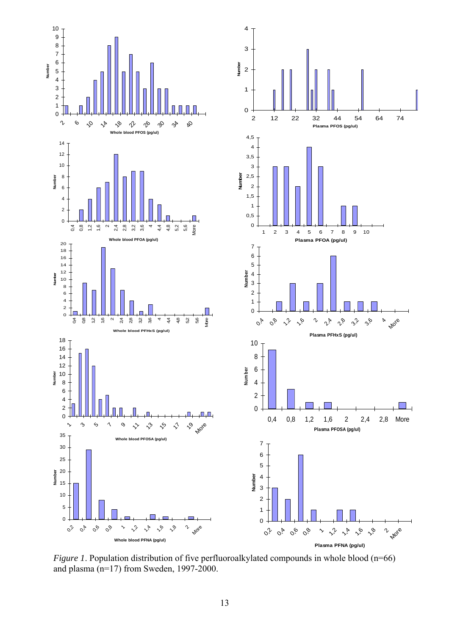

*Figure 1*. Population distribution of five perfluoroalkylated compounds in whole blood (n=66) and plasma (n=17) from Sweden, 1997-2000.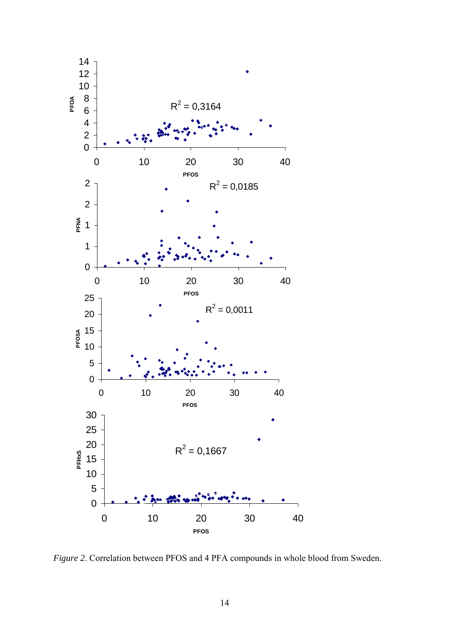

*Figure 2*. Correlation between PFOS and 4 PFA compounds in whole blood from Sweden.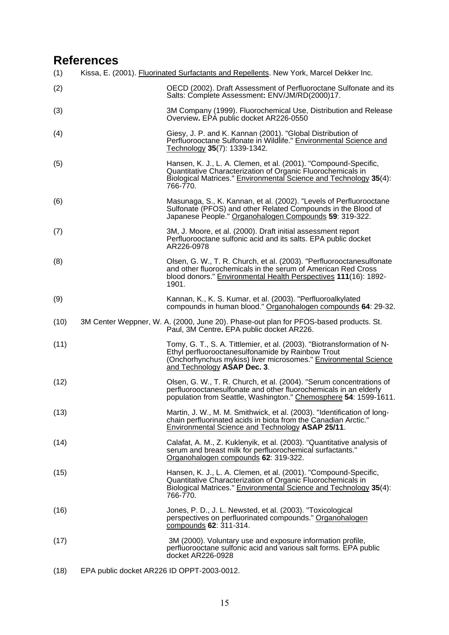# **References**

| (1)  |                                            | Kissa, E. (2001). Fluorinated Surfactants and Repellents. New York, Marcel Dekker Inc.                                                                                                                                        |
|------|--------------------------------------------|-------------------------------------------------------------------------------------------------------------------------------------------------------------------------------------------------------------------------------|
| (2)  |                                            | OECD (2002). Draft Assessment of Perfluoroctane Sulfonate and its<br>Salts: Complete Assessment: ENV/JM/RD(2000)17.                                                                                                           |
| (3)  |                                            | 3M Company (1999). Fluorochemical Use, Distribution and Release<br>Overview. EPA public docket AR226-0550                                                                                                                     |
| (4)  |                                            | Giesy, J. P. and K. Kannan (2001). "Global Distribution of<br>Perfluorooctane Sulfonate in Wildlife." Environmental Science and<br>Technology 35(7): 1339-1342.                                                               |
| (5)  |                                            | Hansen, K. J., L. A. Clemen, et al. (2001). "Compound-Specific,<br>Quantitative Characterization of Organic Fluorochemicals in<br>Biological Matrices." Environmental Science and Technology 35(4):<br>766-770.               |
| (6)  |                                            | Masunaga, S., K. Kannan, et al. (2002). "Levels of Perfluorooctane<br>Sulfonate (PFOS) and other Related Compounds in the Blood of<br>Japanese People." Organohalogen Compounds 59: 319-322.                                  |
| (7)  |                                            | 3M, J. Moore, et al. (2000). Draft initial assessment report<br>Perfluorooctane sulfonic acid and its salts. EPA public docket<br>AR226-0978                                                                                  |
| (8)  |                                            | Olsen, G. W., T. R. Church, et al. (2003). "Perfluorooctanesulfonate<br>and other fluorochemicals in the serum of American Red Cross<br>blood donors." Environmental Health Perspectives 111(16): 1892-<br>1901.              |
| (9)  |                                            | Kannan, K., K. S. Kumar, et al. (2003). "Perfluoroalkylated<br>compounds in human blood." Organohalogen compounds 64: 29-32.                                                                                                  |
| (10) |                                            | 3M Center Weppner, W. A. (2000, June 20). Phase-out plan for PFOS-based products. St.<br>Paul, 3M Centre. EPA public docket AR226.                                                                                            |
| (11) |                                            | Tomy, G. T., S. A. Tittlemier, et al. (2003). "Biotransformation of N-<br>Ethyl perfluorooctanesulfonamide by Rainbow Trout<br>(Onchorhynchus mykiss) liver microsomes." Environmental Science<br>and Technology ASAP Dec. 3. |
| (12) |                                            | Olsen, G. W., T. R. Church, et al. (2004). "Serum concentrations of<br>perfluorooctanesulfonate and other fluorochemicals in an elderly<br>population from Seattle, Washington." Chemosphere 54: 1599-1611.                   |
| (13) |                                            | Martin, J. W., M. M. Smithwick, et al. (2003). "Identification of long-<br>chain perfluorinated acids in biota from the Canadian Arctic."<br><b>Environmental Science and Technology ASAP 25/11.</b>                          |
| (14) |                                            | Calafat, A. M., Z. Kuklenyik, et al. (2003). "Quantitative analysis of<br>serum and breast milk for perfluorochemical surfactants."<br>Organohalogen compounds 62: 319-322.                                                   |
| (15) |                                            | Hansen, K. J., L. A. Clemen, et al. (2001). "Compound-Specific,<br>Quantitative Characterization of Organic Fluorochemicals in<br>Biological Matrices." Environmental Science and Technology 35(4):<br>766-770.               |
| (16) |                                            | Jones, P. D., J. L. Newsted, et al. (2003). "Toxicological<br>perspectives on perfluorinated compounds." Organohalogen<br>compounds 62: 311-314.                                                                              |
| (17) |                                            | 3M (2000). Voluntary use and exposure information profile,<br>perfluorooctane sulfonic acid and various salt forms. EPA public<br>docket AR226-0928                                                                           |
| (18) | EPA public docket AR226 ID OPPT-2003-0012. |                                                                                                                                                                                                                               |